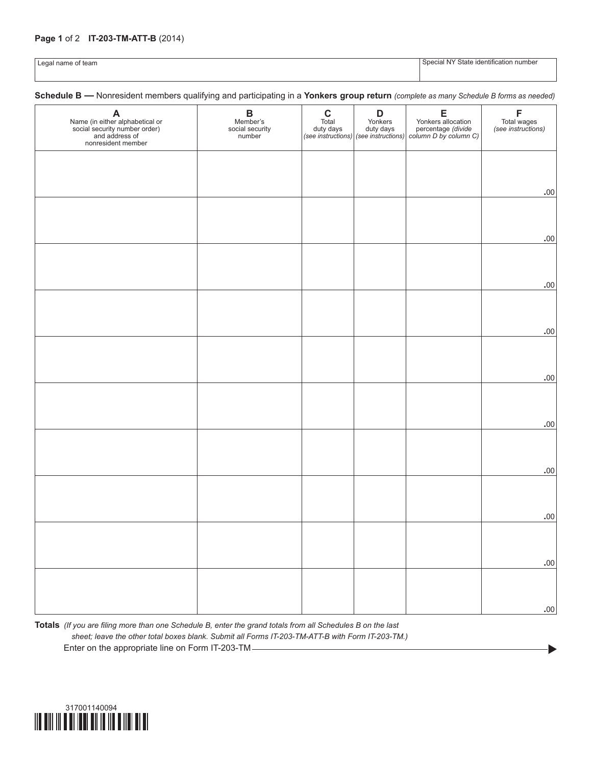## **Page 1** of 2 **IT-203-TM-ATT-B** (2014)

Legal name of team state identification number of team  $\sim$  Special NY State identification number

 $\blacktriangleright$ 

**Schedule B —** Nonresident members qualifying and participating in a **Yonkers group return** *(complete as many Schedule B forms as needed)*

| <b>A</b><br>Name (in either alphabetical or<br>social security number order)<br>and address of<br>nonresident member | $\, {\bf B}$<br>Member's<br>social security<br>number | $\mathbf C$<br>Total<br>duty days | D<br>Yonkers<br>duty days<br>(see instructions) (see instructions) | E<br>Yonkers allocation<br>percentage (divide<br>column D by column C) | F<br>Total wages<br>(see instructions) |
|----------------------------------------------------------------------------------------------------------------------|-------------------------------------------------------|-----------------------------------|--------------------------------------------------------------------|------------------------------------------------------------------------|----------------------------------------|
|                                                                                                                      |                                                       |                                   |                                                                    |                                                                        |                                        |
|                                                                                                                      |                                                       |                                   |                                                                    |                                                                        | .00                                    |
|                                                                                                                      |                                                       |                                   |                                                                    |                                                                        |                                        |
|                                                                                                                      |                                                       |                                   |                                                                    |                                                                        | .00                                    |
|                                                                                                                      |                                                       |                                   |                                                                    |                                                                        |                                        |
|                                                                                                                      |                                                       |                                   |                                                                    |                                                                        | .00                                    |
|                                                                                                                      |                                                       |                                   |                                                                    |                                                                        | .00                                    |
|                                                                                                                      |                                                       |                                   |                                                                    |                                                                        |                                        |
|                                                                                                                      |                                                       |                                   |                                                                    |                                                                        | $.00$                                  |
|                                                                                                                      |                                                       |                                   |                                                                    |                                                                        |                                        |
|                                                                                                                      |                                                       |                                   |                                                                    |                                                                        | $.00$                                  |
|                                                                                                                      |                                                       |                                   |                                                                    |                                                                        | $.00$                                  |
|                                                                                                                      |                                                       |                                   |                                                                    |                                                                        |                                        |
|                                                                                                                      |                                                       |                                   |                                                                    |                                                                        | $.00$                                  |
|                                                                                                                      |                                                       |                                   |                                                                    |                                                                        |                                        |
|                                                                                                                      |                                                       |                                   |                                                                    |                                                                        | .00                                    |
|                                                                                                                      |                                                       |                                   |                                                                    |                                                                        |                                        |
|                                                                                                                      |                                                       |                                   |                                                                    |                                                                        | .00                                    |

**Totals** *(If you are filing more than one Schedule B, enter the grand totals from all Schedules B on the last sheet; leave the other total boxes blank. Submit all Forms IT-203-TM-ATT-B with Form IT-203-TM.)* Enter on the appropriate line on Form IT-203-TM